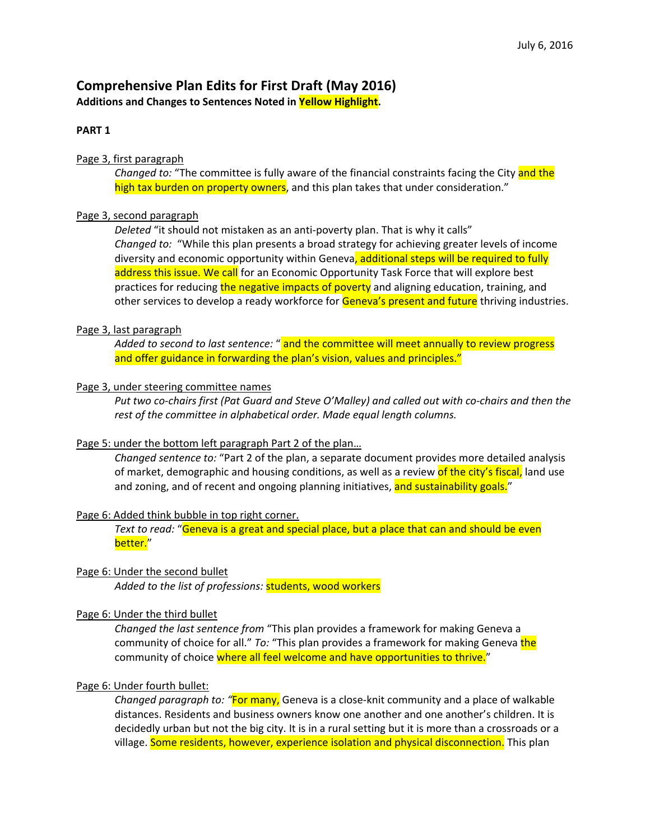# **Comprehensive Plan Edits for First Draft (May 2016) Additions and Changes to Sentences Noted in Yellow Highlight.**

# **PART 1**

# Page 3, first paragraph

*Changed to:* "The committee is fully aware of the financial constraints facing the City and the high tax burden on property owners, and this plan takes that under consideration."

# Page 3, second paragraph

*Deleted* "it should not mistaken as an anti‐poverty plan. That is why it calls" *Changed to:* "While this plan presents a broad strategy for achieving greater levels of income diversity and economic opportunity within Geneva, additional steps will be required to fully address this issue. We call for an Economic Opportunity Task Force that will explore best practices for reducing the negative impacts of poverty and aligning education, training, and other services to develop a ready workforce for Geneva's present and future thriving industries.

# Page 3, last paragraph

*Added to second to last sentence:* " and the committee will meet annually to review progress and offer guidance in forwarding the plan's vision, values and principles."

# Page 3, under steering committee names

Put two co-chairs first (Pat Guard and Steve O'Malley) and called out with co-chairs and then the *rest of the committee in alphabetical order. Made equal length columns.*

# Page 5: under the bottom left paragraph Part 2 of the plan…

*Changed sentence to:* "Part 2 of the plan, a separate document provides more detailed analysis of market, demographic and housing conditions, as well as a review of the city's fiscal, land use and zoning, and of recent and ongoing planning initiatives, and sustainability goals."

#### Page 6: Added think bubble in top right corner.

*Text to read:* "Geneva is a great and special place, but a place that can and should be even better."

# Page 6: Under the second bullet

*Added to the list of professions:* students, wood workers

#### Page 6: Under the third bullet

*Changed the last sentence from* "This plan provides a framework for making Geneva a community of choice for all." *To:* "This plan provides a framework for making Geneva the community of choice where all feel welcome and have opportunities to thrive."

# Page 6: Under fourth bullet:

*Changed paragraph to: "*For many, Geneva is a close‐knit community and a place of walkable distances. Residents and business owners know one another and one another's children. It is decidedly urban but not the big city. It is in a rural setting but it is more than a crossroads or a village. Some residents, however, experience isolation and physical disconnection. This plan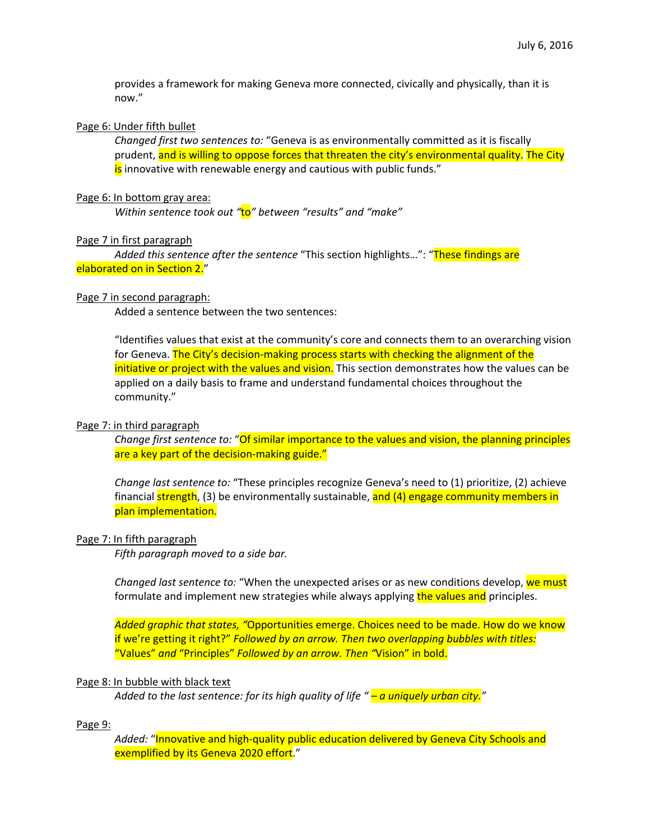provides a framework for making Geneva more connected, civically and physically, than it is now."

#### Page 6: Under fifth bullet

*Changed first two sentences to:* "Geneva is as environmentally committed as it is fiscally prudent, and is willing to oppose forces that threaten the city's environmental quality. The City is innovative with renewable energy and cautious with public funds."

#### Page 6: In bottom gray area:

*Within sentence took out "*to*" between "results" and "make"*

#### Page 7 in first paragraph

*Added this sentence after the sentence* "This section highlights…": "These findings are elaborated on in Section 2."

### Page 7 in second paragraph:

Added a sentence between the two sentences:

"Identifies values that exist at the community's core and connects them to an overarching vision for Geneva. The City's decision-making process starts with checking the alignment of the initiative or project with the values and vision. This section demonstrates how the values can be applied on a daily basis to frame and understand fundamental choices throughout the community."

#### Page 7: in third paragraph

*Change first sentence to:* "Of similar importance to the values and vision, the planning principles are a key part of the decision-making guide."

*Change last sentence to:* "These principles recognize Geneva's need to (1) prioritize, (2) achieve financial strength, (3) be environmentally sustainable, and (4) engage community members in plan implementation.

#### Page 7: In fifth paragraph

*Fifth paragraph moved to a side bar.*

*Changed last sentence to:* "When the unexpected arises or as new conditions develop, we must formulate and implement new strategies while always applying the values and principles.

*Added graphic that states, "*Opportunities emerge. Choices need to be made. How do we know if we're getting it right?" *Followed by an arrow. Then two overlapping bubbles with titles:* "Values" *and* "Principles" *Followed by an arrow. Then "*Vision" in bold.

#### Page 8: In bubble with black text

*Added to the last sentence: for its high quality of life " – a uniquely urban city."*

#### Page 9:

Added: "Innovative and high-quality public education delivered by Geneva City Schools and exemplified by its Geneva 2020 effort."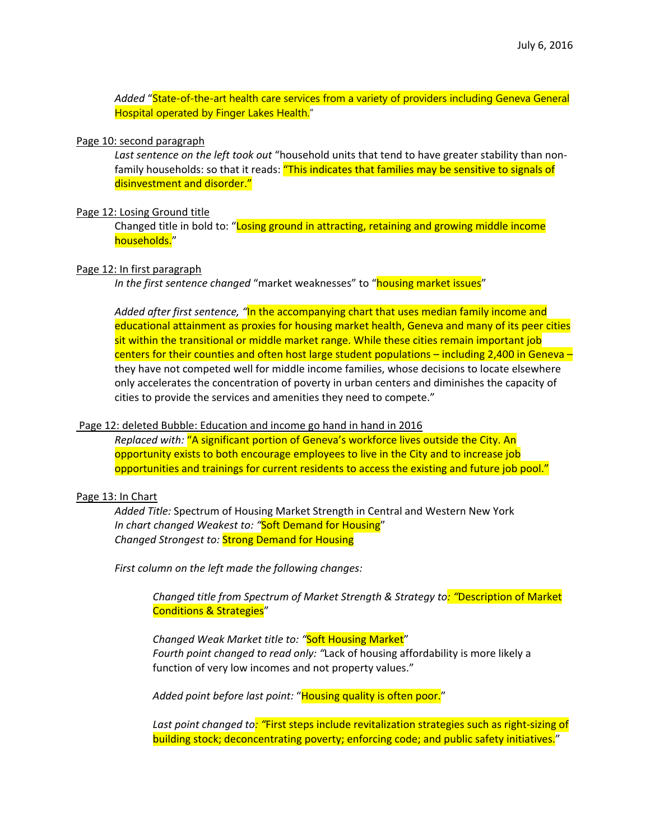*Added* "State-of-the-art health care services from a variety of providers including Geneva General Hospital operated by Finger Lakes Health."

#### Page 10: second paragraph

*Last sentence on the left took out* "household units that tend to have greater stability than non‐ family households: so that it reads: "This indicates that families may be sensitive to signals of disinvestment and disorder."

#### Page 12: Losing Ground title

Changed title in bold to: "Losing ground in attracting, retaining and growing middle income households."

#### Page 12: In first paragraph

*In the first sentence changed* "market weaknesses" to "housing market issues"

*Added after first sentence, "*In the accompanying chart that uses median family income and educational attainment as proxies for housing market health, Geneva and many of its peer cities sit within the transitional or middle market range. While these cities remain important job centers for their counties and often host large student populations - including 2,400 in Geneva they have not competed well for middle income families, whose decisions to locate elsewhere only accelerates the concentration of poverty in urban centers and diminishes the capacity of cities to provide the services and amenities they need to compete."

#### Page 12: deleted Bubble: Education and income go hand in hand in 2016

*Replaced with:* "A significant portion of Geneva's workforce lives outside the City. An opportunity exists to both encourage employees to live in the City and to increase job opportunities and trainings for current residents to access the existing and future job pool."

# Page 13: In Chart

*Added Title:* Spectrum of Housing Market Strength in Central and Western New York *In chart changed Weakest to: "*Soft Demand for Housing" *Changed Strongest to:* Strong Demand for Housing

*First column on the left made the following changes:*

*Changed title from Spectrum of Market Strength & Strategy to: "*Description of Market Conditions & Strategies"

*Changed Weak Market title to: "*Soft Housing Market" *Fourth point changed to read only: "*Lack of housing affordability is more likely a function of very low incomes and not property values."

*Added point before last point:* "Housing quality is often poor."

*Last point changed to: "*First steps include revitalization strategies such as right‐sizing of building stock; deconcentrating poverty; enforcing code; and public safety initiatives."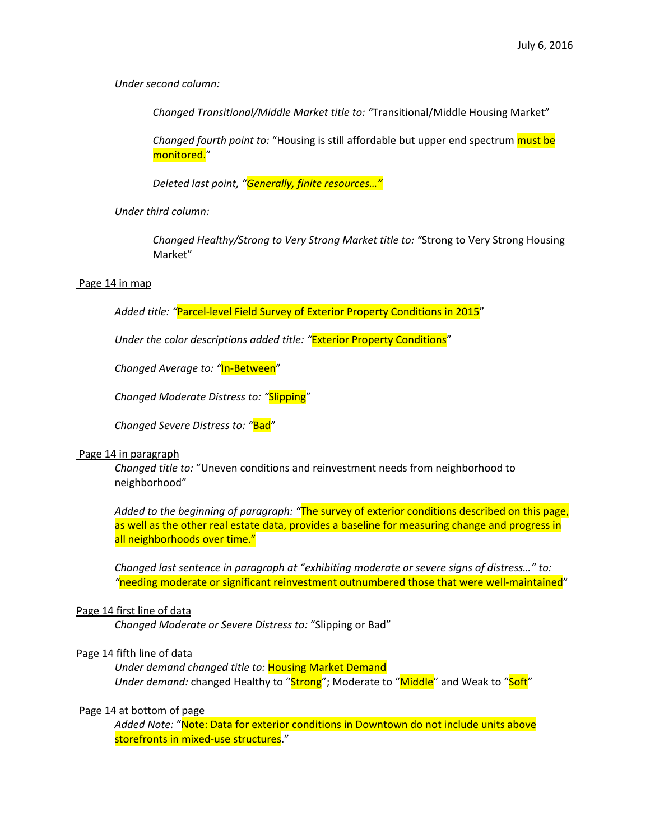*Under second column:*

*Changed Transitional/Middle Market title to: "*Transitional/Middle Housing Market"

*Changed fourth point to:* "Housing is still affordable but upper end spectrum must be monitored."

*Deleted last point, "Generally, finite resources…"*

*Under third column:*

*Changed Healthy/Strong to Very Strong Market title to: "*Strong to Very Strong Housing Market"

#### Page 14 in map

*Added title: "*Parcel‐level Field Survey of Exterior Property Conditions in 2015"

*Under the color descriptions added title: "*Exterior Property Conditions"

*Changed Average to: "*In‐Between"

*Changed Moderate Distress to: "*Slipping"

*Changed Severe Distress to: "*Bad"

#### Page 14 in paragraph

*Changed title to:* "Uneven conditions and reinvestment needs from neighborhood to neighborhood"

*Added to the beginning of paragraph: "*The survey of exterior conditions described on this page, as well as the other real estate data, provides a baseline for measuring change and progress in all neighborhoods over time."

*Changed last sentence in paragraph at "exhibiting moderate or severe signs of distress…" to: "*needing moderate or significant reinvestment outnumbered those that were well‐maintained"

#### Page 14 first line of data

*Changed Moderate or Severe Distress to:* "Slipping or Bad"

#### Page 14 fifth line of data

*Under demand changed title to:* Housing Market Demand Under *demand:* changed Healthy to "Strong"; Moderate to "Middle" and Weak to "Soft"

# Page 14 at bottom of page

*Added Note:* "Note: Data for exterior conditions in Downtown do not include units above storefronts in mixed-use structures."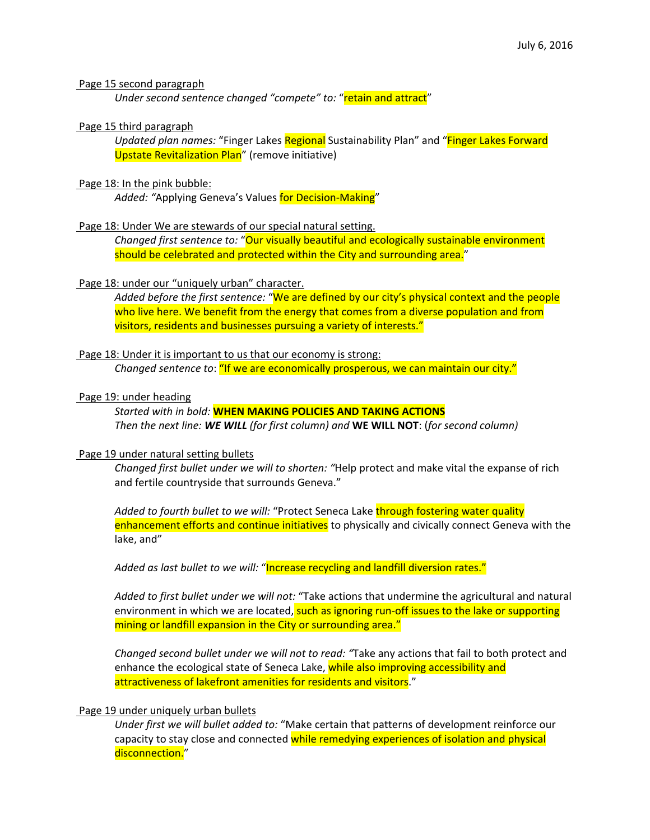#### Page 15 second paragraph

*Under second sentence changed "compete" to:* "retain and attract"

#### Page 15 third paragraph

*Updated plan names:* "Finger Lakes Regional Sustainability Plan" and "Finger Lakes Forward Upstate Revitalization Plan" (remove initiative)

#### Page 18: In the pink bubble:

Added: "Applying Geneva's Values for Decision-Making"

#### Page 18: Under We are stewards of our special natural setting.

*Changed first sentence to:* "Our visually beautiful and ecologically sustainable environment should be celebrated and protected within the City and surrounding area."

#### Page 18: under our "uniquely urban" character.

*Added before the first sentence:* "We are defined by our city's physical context and the people who live here. We benefit from the energy that comes from a diverse population and from visitors, residents and businesses pursuing a variety of interests."

#### Page 18: Under it is important to us that our economy is strong:

*Changed sentence to*: "If we are economically prosperous, we can maintain our city."

#### Page 19: under heading

*Started with in bold:* **WHEN MAKING POLICIES AND TAKING ACTIONS** *Then the next line: WE WILL (for first column) and* **WE WILL NOT**: (*for second column)*

#### Page 19 under natural setting bullets

*Changed first bullet under we will to shorten: "*Help protect and make vital the expanse of rich and fertile countryside that surrounds Geneva."

*Added to fourth bullet to we will:* "Protect Seneca Lake through fostering water quality enhancement efforts and continue initiatives to physically and civically connect Geneva with the lake, and"

*Added as last bullet to we will:* "Increase recycling and landfill diversion rates."

*Added to first bullet under we will not:* "Take actions that undermine the agricultural and natural environment in which we are located, such as ignoring run-off issues to the lake or supporting mining or landfill expansion in the City or surrounding area."

*Changed second bullet under we will not to read: "*Take any actions that fail to both protect and enhance the ecological state of Seneca Lake, while also improving accessibility and attractiveness of lakefront amenities for residents and visitors."

# Page 19 under uniquely urban bullets

*Under first we will bullet added to:* "Make certain that patterns of development reinforce our capacity to stay close and connected while remedying experiences of isolation and physical disconnection."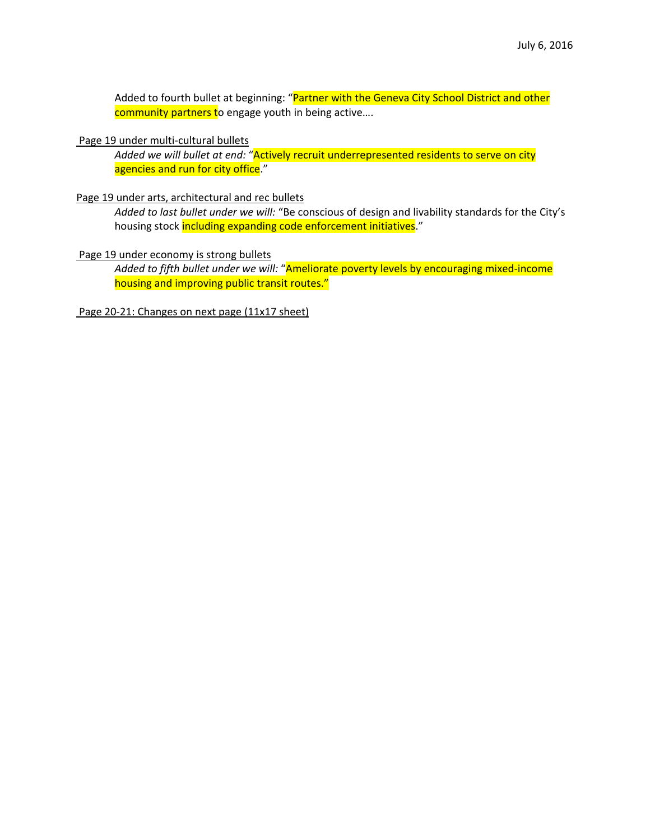Added to fourth bullet at beginning: "Partner with the Geneva City School District and other community partners to engage youth in being active....

#### Page 19 under multi‐cultural bullets

*Added we will bullet at end:* "Actively recruit underrepresented residents to serve on city agencies and run for city office."

#### Page 19 under arts, architectural and rec bullets

*Added to last bullet under we will:* "Be conscious of design and livability standards for the City's housing stock including expanding code enforcement initiatives."

#### Page 19 under economy is strong bullets

*Added to fifth bullet under we will:* "Ameliorate poverty levels by encouraging mixed‐income housing and improving public transit routes."

Page 20‐21: Changes on next page (11x17 sheet)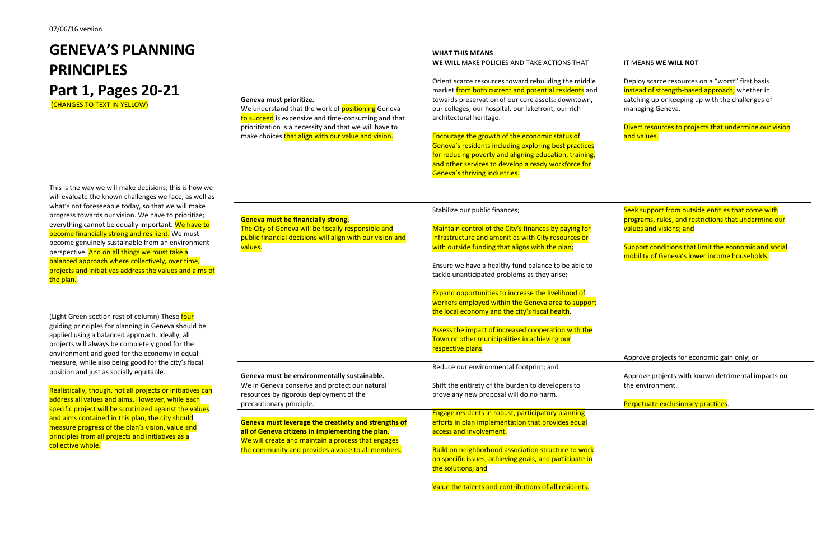# **GENEVA'S PLANNINGPRINCIPLESPart 1, Pages 20‐21**

(CHANGES TO TEXT IN YELLOW)

This is the way we will make decisions; this is how we will evaluate the known challenges we face, as well as what's not foreseeable today, so that we will make progress towards our vision. We have to prioritize; everything cannot be equally important. We have to **become financially strong and resilient.** We must become genuinely sustainable from an environment perspective. And on all things we must take <sup>a</sup> balanced approach where collectively, over time, projects and initiatives address the values and aims of the plan.

(Light Green section rest of column) These four guiding principles for planning in Geneva should be applied using <sup>a</sup> balanced approach. Ideally, all projects will always be completely good for the environment and good for the economy in equal measure, while also being good for the city's fiscal position and just as socially equitable.

Realistically, though, not all projects or initiatives can address all values and aims. However, while each specific project will be scrutinized against the values and aims contained in this plan, the city should measure progress of the plan's vision, value and principles from all projects and initiatives as <sup>a</sup> collective whole.

#### **Geneva must prioritize.**

We understand that the work of <mark>positioning</mark> Geneva to succeed is expensive and time-consuming and that prioritization is <sup>a</sup> necessity and that we will have to make choices <mark>that align with our value and vision</mark>.

> Assess the impact of increased cooperation with the Town or other municipalities in achieving our respective plans.

# **Geneva must be financially strong.**

The City of Geneva will be fiscally responsible and public financial decisions will align with our vision and values.

**Geneva must be environmentally sustainable.** We in Geneva conserve and protect our natural resources by rigorous deployment of the precautionary principle.

Divert resources to projects that undermine our vision and values.

**Geneva must leverage the creativity and strengths of all of Geneva citizens in implementing the plan.** We will create and maintain <sup>a</sup> process that engages the community and provides <sup>a</sup> voice to all members.

#### **WHAT THIS MEANS WE WILL** MAKE POLICIES AND TAKE ACTIONS THAT

Orient scarce resources toward rebuilding the middle market from both current and potential residents and towards preservation of our core assets: downtown, our colleges, our hospital, our lakefront, our rich architectural heritage.

Encourage the growth of the economic status of Geneva's residents including exploring best practices for reducing poverty and aligning education, training, and other services to develop <sup>a</sup> ready workforce for Geneva's thriving industries.

# Stabilize our public finances;

Maintain control of the City's finances by paying for infrastructure and amenities with City resources or with outside funding that aligns with the plan;

Ensure we have <sup>a</sup> healthy fund balance to be able to tackle unanticipated problems as they arise;

Expand opportunities to increase the livelihood of workers employed within the Geneva area to support the local economy and the city's fiscal health.

Reduce our environmental footprint; and

Shift the entirety of the burden to developers to prove any new proposal will do no harm.

Engage residents in robust, participatory planning efforts in plan implementation that provides equal access and involvement.

Build on neighborhood association structure to work on specific issues, achieving goals, and participate in the solutions; and

Value the talents and contributions of all residents.

# IT MEANS **WE WILL NOT**

Deploy scarce resources on <sup>a</sup> "worst" first basis instead of strength-based approach, whether in catching up or keeping up with the challenges of managing Geneva.

Seek support from outside entities that come with programs, rules, and restrictions that undermine our values and visions; and

Support conditions that limit the economic and social mobility of Geneva's lower income households.

Approve projects for economic gain only; or

Approve projects with known detrimental impacts on the environment.

Perpetuate exclusionary practices.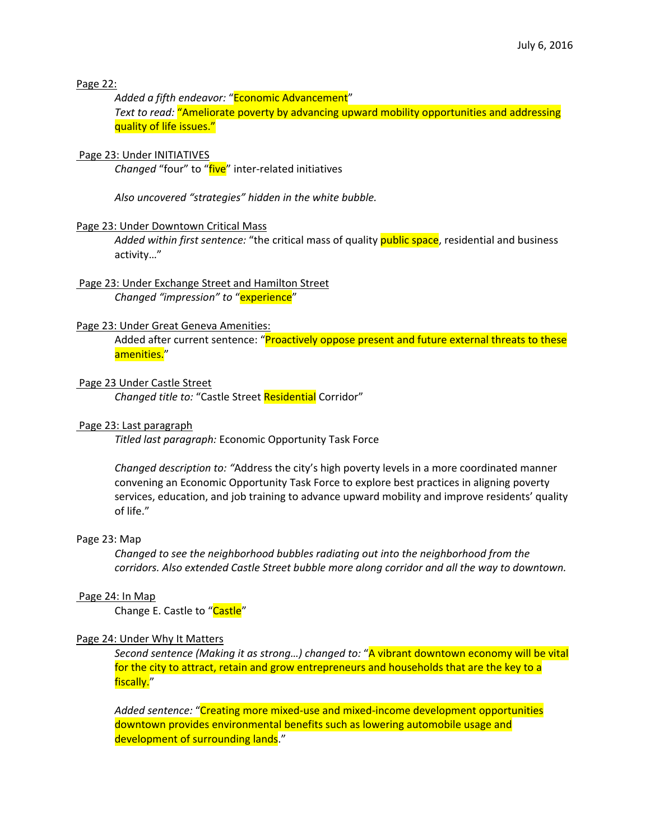# Page 22:

*Added a fifth endeavor:* "Economic Advancement" *Text to read:* "Ameliorate poverty by advancing upward mobility opportunities and addressing quality of life issues."

# Page 23: Under INITIATIVES

*Changed* "four" to "five" inter‐related initiatives

*Also uncovered "strategies" hidden in the white bubble.*

# Page 23: Under Downtown Critical Mass

*Added within first sentence:* "the critical mass of quality public space, residential and business activity…"

# Page 23: Under Exchange Street and Hamilton Street *Changed "impression" to* "experience"

# Page 23: Under Great Geneva Amenities:

Added after current sentence: "Proactively oppose present and future external threats to these amenities."

# Page 23 Under Castle Street

*Changed title to:* "Castle Street Residential Corridor"

# Page 23: Last paragraph

*Titled last paragraph:* Economic Opportunity Task Force

*Changed description to: "*Address the city's high poverty levels in a more coordinated manner convening an Economic Opportunity Task Force to explore best practices in aligning poverty services, education, and job training to advance upward mobility and improve residents' quality of life."

#### Page 23: Map

*Changed to see the neighborhood bubbles radiating out into the neighborhood from the corridors. Also extended Castle Street bubble more along corridor and all the way to downtown.*

#### Page 24: In Map

Change E. Castle to "Castle"

# Page 24: Under Why It Matters

*Second sentence (Making it as strong…) changed to:* "A vibrant downtown economy will be vital for the city to attract, retain and grow entrepreneurs and households that are the key to a fiscally."

*Added sentence:* "Creating more mixed‐use and mixed‐income development opportunities downtown provides environmental benefits such as lowering automobile usage and development of surrounding lands."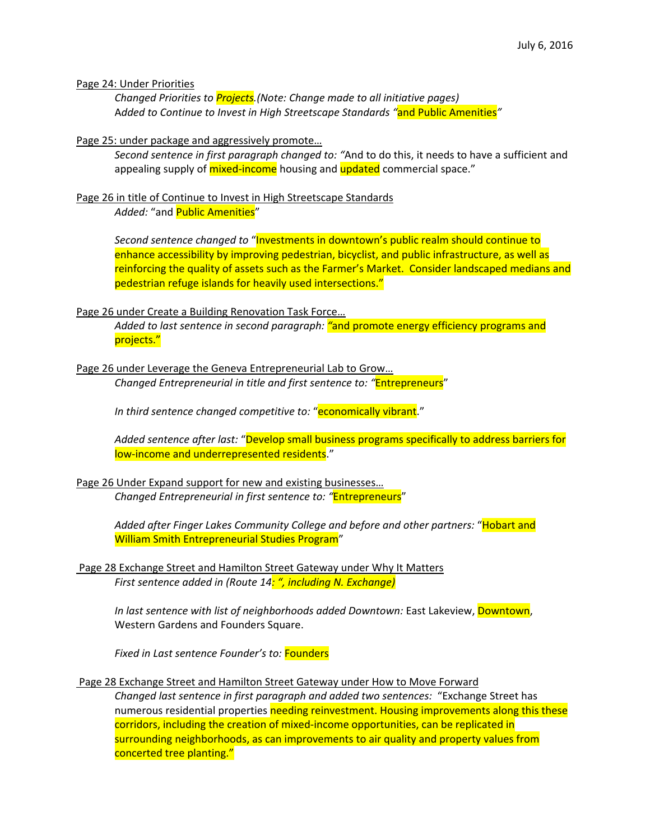### Page 24: Under Priorities

*Changed Priorities to Projects.(Note: Change made to all initiative pages)* A*dded to Continue to Invest in High Streetscape Standards "*and Public Amenities*"*

# Page 25: under package and aggressively promote…

*Second sentence in first paragraph changed to: "*And to do this, it needs to have a sufficient and appealing supply of *mixed-income* housing and **updated** commercial space."

# Page 26 in title of Continue to Invest in High Streetscape Standards

Added: "and Public Amenities"

*Second sentence changed to* "Investments in downtown's public realm should continue to enhance accessibility by improving pedestrian, bicyclist, and public infrastructure, as well as reinforcing the quality of assets such as the Farmer's Market. Consider landscaped medians and pedestrian refuge islands for heavily used intersections."

# Page 26 under Create a Building Renovation Task Force…

*Added to last sentence in second paragraph: "*and promote energy efficiency programs and projects."

# Page 26 under Leverage the Geneva Entrepreneurial Lab to Grow…

*Changed Entrepreneurial in title and first sentence to: "*Entrepreneurs"

*In third sentence changed competitive to:* "economically vibrant."

*Added sentence after last:* "Develop small business programs specifically to address barriers for low-income and underrepresented residents."

# Page 26 Under Expand support for new and existing businesses… *Changed Entrepreneurial in first sentence to: "*Entrepreneurs"

*Added after Finger Lakes Community College and before and other partners:* "Hobart and William Smith Entrepreneurial Studies Program"

# Page 28 Exchange Street and Hamilton Street Gateway under Why It Matters *First sentence added in (Route 14: ", including N. Exchange)*

*In last sentence with list of neighborhoods added Downtown:* East Lakeview, Downtown, Western Gardens and Founders Square.

*Fixed in Last sentence Founder's to:* Founders

Page 28 Exchange Street and Hamilton Street Gateway under How to Move Forward

*Changed last sentence in first paragraph and added two sentences:* "Exchange Street has numerous residential properties needing reinvestment. Housing improvements along this these corridors, including the creation of mixed‐income opportunities, can be replicated in surrounding neighborhoods, as can improvements to air quality and property values from concerted tree planting."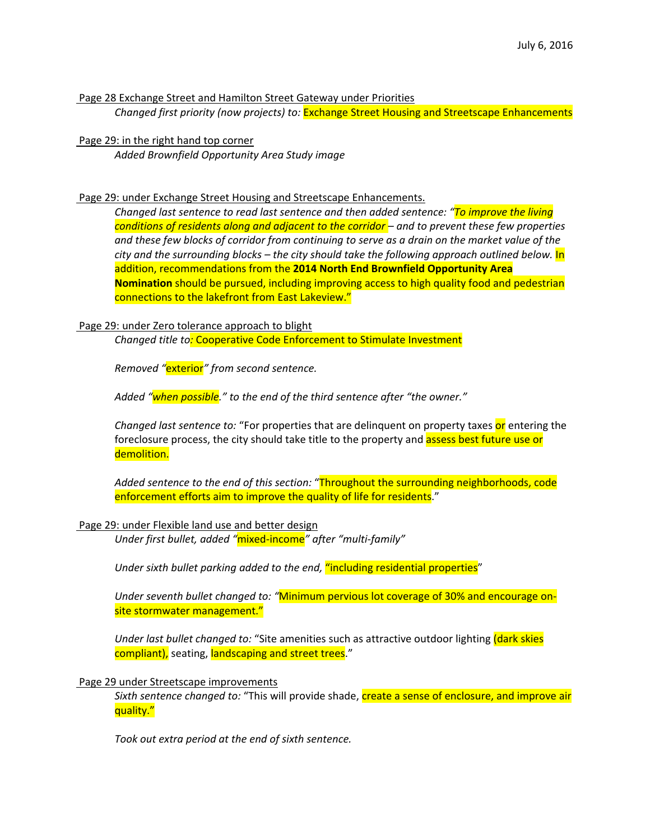Page 28 Exchange Street and Hamilton Street Gateway under Priorities *Changed first priority (now projects) to:* Exchange Street Housing and Streetscape Enhancements

Page 29: in the right hand top corner *Added Brownfield Opportunity Area Study image* 

Page 29: under Exchange Street Housing and Streetscape Enhancements.

*Changed last sentence to read last sentence and then added sentence: "To improve the living conditions of residents along and adjacent to the corridor – and to prevent these few properties* and these few blocks of corridor from continuing to serve as a drain on the market value of the *city and the surrounding blocks – the city should take the following approach outlined below.* In addition, recommendations from the **2014 North End Brownfield Opportunity Area Nomination** should be pursued, including improving access to high quality food and pedestrian connections to the lakefront from East Lakeview."

# Page 29: under Zero tolerance approach to blight

*Changed title to:* Cooperative Code Enforcement to Stimulate Investment

*Removed "*exterior*" from second sentence.*

*Added "when possible." to the end of the third sentence after "the owner."*

*Changed last sentence to:* "For properties that are delinquent on property taxes or entering the foreclosure process, the city should take title to the property and **assess best future use or** demolition.

*Added sentence to the end of this section:* "Throughout the surrounding neighborhoods, code enforcement efforts aim to improve the quality of life for residents."

#### Page 29: under Flexible land use and better design

*Under first bullet, added "*mixed‐income*" after "multi‐family"*

*Under sixth bullet parking added to the end,* "including residential properties"

*Under seventh bullet changed to: "*Minimum pervious lot coverage of 30% and encourage on‐ site stormwater management."

*Under last bullet changed to:* "Site amenities such as attractive outdoor lighting (dark skies compliant), seating, landscaping and street trees."

### Page 29 under Streetscape improvements

*Sixth sentence changed to:* "This will provide shade, create a sense of enclosure, and improve air quality."

*Took out extra period at the end of sixth sentence.*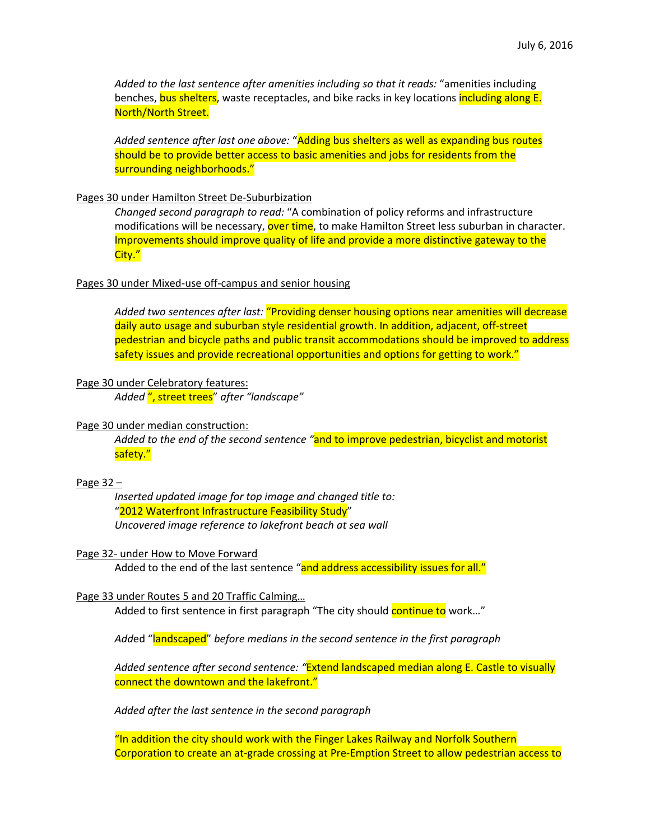*Added to the last sentence after amenities including so that it reads:* "amenities including benches, bus shelters, waste receptacles, and bike racks in key locations including along E. North/North Street.

*Added sentence after last one above:* "Adding bus shelters as well as expanding bus routes should be to provide better access to basic amenities and jobs for residents from the surrounding neighborhoods."

#### Pages 30 under Hamilton Street De‐Suburbization

*Changed second paragraph to read:* "A combination of policy reforms and infrastructure modifications will be necessary, over time, to make Hamilton Street less suburban in character. Improvements should improve quality of life and provide a more distinctive gateway to the City."

#### Pages 30 under Mixed‐use off‐campus and senior housing

*Added two sentences after last:* "Providing denser housing options near amenities will decrease daily auto usage and suburban style residential growth. In addition, adjacent, off‐street pedestrian and bicycle paths and public transit accommodations should be improved to address safety issues and provide recreational opportunities and options for getting to work."

#### Page 30 under Celebratory features:

*Added* ", street trees" *after "landscape"*

#### Page 30 under median construction:

*Added to the end of the second sentence "*and to improve pedestrian, bicyclist and motorist safety."

# Page 32 –

*Inserted updated image for top image and changed title to:* "2012 Waterfront Infrastructure Feasibility Study" *Uncovered image reference to lakefront beach at sea wall* 

#### Page 32‐ under How to Move Forward

Added to the end of the last sentence "and address accessibility issues for all."

#### Page 33 under Routes 5 and 20 Traffic Calming…

Added to first sentence in first paragraph "The city should continue to work..."

*Add*ed "landscaped" *before medians in the second sentence in the first paragraph*

*Added sentence after second sentence: "*Extend landscaped median along E. Castle to visually connect the downtown and the lakefront."

*Added after the last sentence in the second paragraph*

"In addition the city should work with the Finger Lakes Railway and Norfolk Southern Corporation to create an at‐grade crossing at Pre‐Emption Street to allow pedestrian access to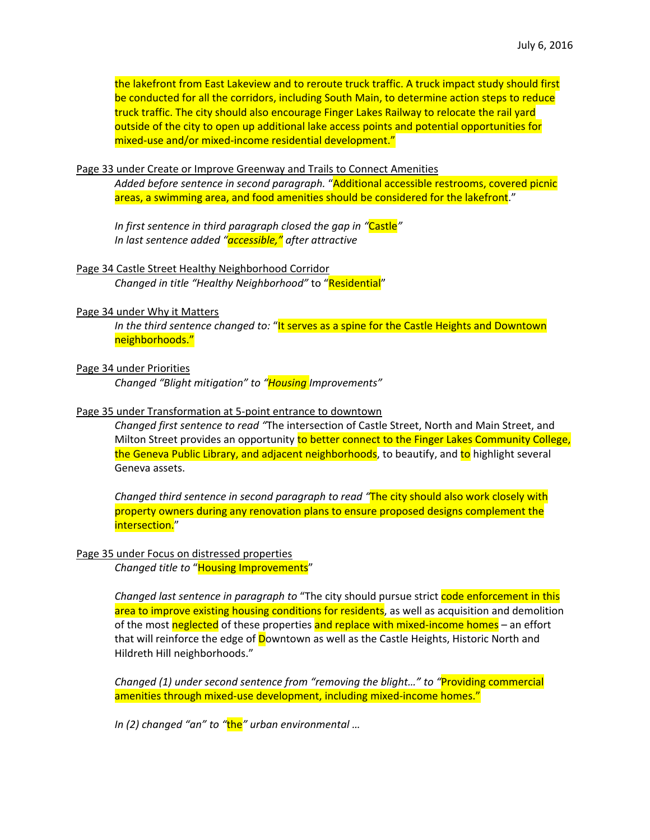the lakefront from East Lakeview and to reroute truck traffic. A truck impact study should first be conducted for all the corridors, including South Main, to determine action steps to reduce truck traffic. The city should also encourage Finger Lakes Railway to relocate the rail yard outside of the city to open up additional lake access points and potential opportunities for mixed-use and/or mixed-income residential development."

#### Page 33 under Create or Improve Greenway and Trails to Connect Amenities

*Added before sentence in second paragraph.* "Additional accessible restrooms, covered picnic areas, a swimming area, and food amenities should be considered for the lakefront."

*In first sentence in third paragraph closed the gap in "*Castle*" In last sentence added "accessible," after attractive*

#### Page 34 Castle Street Healthy Neighborhood Corridor

*Changed in title "Healthy Neighborhood"* to "Residential"

#### Page 34 under Why it Matters

*In the third sentence changed to:* "It serves as a spine for the Castle Heights and Downtown neighborhoods."

#### Page 34 under Priorities

*Changed "Blight mitigation" to "Housing Improvements"*

#### Page 35 under Transformation at 5‐point entrance to downtown

*Changed first sentence to read "*The intersection of Castle Street, North and Main Street, and Milton Street provides an opportunity to better connect to the Finger Lakes Community College, the Geneva Public Library, and adjacent neighborhoods, to beautify, and to highlight several Geneva assets.

*Changed third sentence in second paragraph to read "*The city should also work closely with property owners during any renovation plans to ensure proposed designs complement the intersection."

# Page 35 under Focus on distressed properties

*Changed title to* "Housing Improvements"

*Changed last sentence in paragraph to* "The city should pursue strict code enforcement in this area to improve existing housing conditions for residents, as well as acquisition and demolition of the most neglected of these properties and replace with mixed-income homes – an effort that will reinforce the edge of **D**owntown as well as the Castle Heights, Historic North and Hildreth Hill neighborhoods."

*Changed (1) under second sentence from "removing the blight…" to "*Providing commercial amenities through mixed-use development, including mixed-income homes."

*In (2) changed "an" to "*the*" urban environmental …*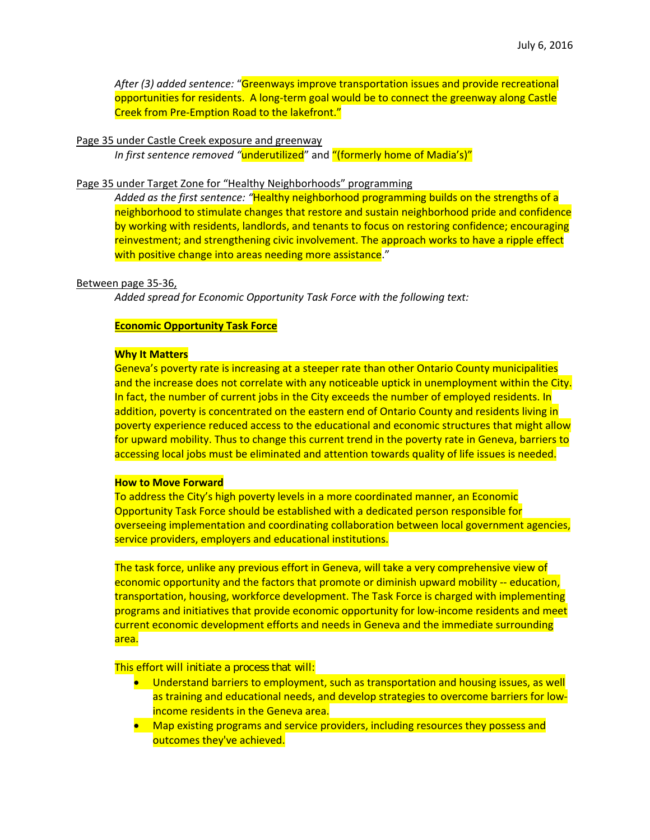*After (3) added sentence:* "Greenways improve transportation issues and provide recreational opportunities for residents. A long‐term goal would be to connect the greenway along Castle Creek from Pre‐Emption Road to the lakefront."

#### Page 35 under Castle Creek exposure and greenway

*In first sentence removed "*underutilized" and "(formerly home of Madia's)"

### Page 35 under Target Zone for "Healthy Neighborhoods" programming

*Added as the first sentence: "*Healthy neighborhood programming builds on the strengths of a neighborhood to stimulate changes that restore and sustain neighborhood pride and confidence by working with residents, landlords, and tenants to focus on restoring confidence; encouraging reinvestment; and strengthening civic involvement. The approach works to have a ripple effect with positive change into areas needing more assistance."

#### Between page 35‐36,

*Added spread for Economic Opportunity Task Force with the following text:*

#### **Economic Opportunity Task Force**

#### **Why It Matters**

Geneva's poverty rate is increasing at a steeper rate than other Ontario County municipalities and the increase does not correlate with any noticeable uptick in unemployment within the City. In fact, the number of current jobs in the City exceeds the number of employed residents. In addition, poverty is concentrated on the eastern end of Ontario County and residents living in poverty experience reduced access to the educational and economic structures that might allow for upward mobility. Thus to change this current trend in the poverty rate in Geneva, barriers to accessing local jobs must be eliminated and attention towards quality of life issues is needed.

#### **How to Move Forward**

To address the City's high poverty levels in a more coordinated manner, an Economic Opportunity Task Force should be established with a dedicated person responsible for overseeing implementation and coordinating collaboration between local government agencies, service providers, employers and educational institutions.

The task force, unlike any previous effort in Geneva, will take a very comprehensive view of economic opportunity and the factors that promote or diminish upward mobility -- education, transportation, housing, workforce development. The Task Force is charged with implementing programs and initiatives that provide economic opportunity for low‐income residents and meet current economic development efforts and needs in Geneva and the immediate surrounding area.

This effort will initiate a process that will:

- Understand barriers to employment, such as transportation and housing issues, as well as training and educational needs, and develop strategies to overcome barriers for low‐ income residents in the Geneva area.
- Map existing programs and service providers, including resources they possess and outcomes they've achieved.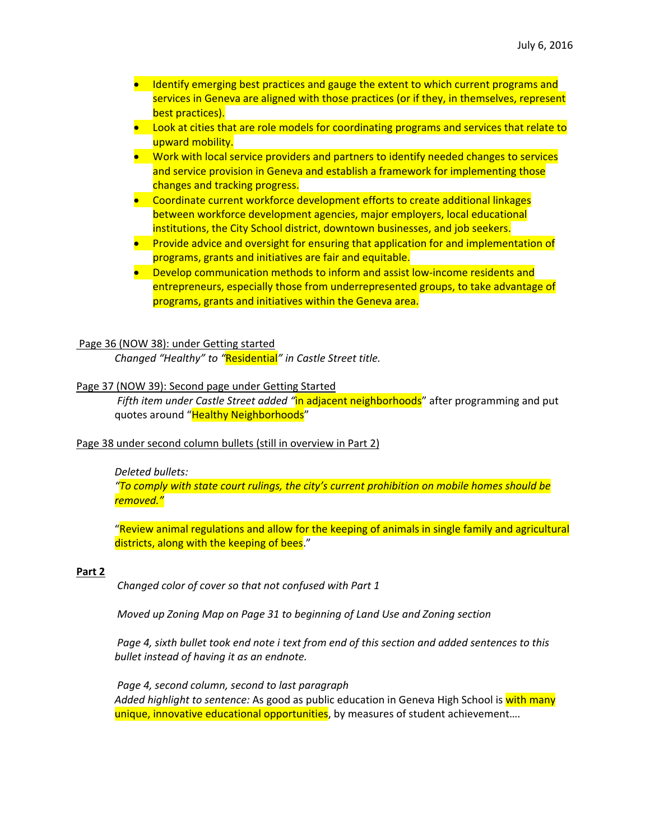- Identify emerging best practices and gauge the extent to which current programs and services in Geneva are aligned with those practices (or if they, in themselves, represent best practices).
- **•** Look at cities that are role models for coordinating programs and services that relate to upward mobility.
- **•** Work with local service providers and partners to identify needed changes to services and service provision in Geneva and establish a framework for implementing those changes and tracking progress.
- Coordinate current workforce development efforts to create additional linkages between workforce development agencies, major employers, local educational institutions, the City School district, downtown businesses, and job seekers.
- **Provide advice and oversight for ensuring that application for and implementation of** programs, grants and initiatives are fair and equitable.
- Develop communication methods to inform and assist low-income residents and entrepreneurs, especially those from underrepresented groups, to take advantage of programs, grants and initiatives within the Geneva area.

# Page 36 (NOW 38): under Getting started

*Changed "Healthy" to "*Residential*" in Castle Street title.*

# Page 37 (NOW 39): Second page under Getting Started

*Fifth item under Castle Street added "*in adjacent neighborhoods" after programming and put quotes around "Healthy Neighborhoods"

#### Page 38 under second column bullets (still in overview in Part 2)

#### *Deleted bullets:*

*"To comply with state court rulings, the city's current prohibition on mobile homes should be removed."*

"Review animal regulations and allow for the keeping of animals in single family and agricultural districts, along with the keeping of bees."

#### **Part 2**

*Changed color of cover so that not confused with Part 1*

*Moved up Zoning Map on Page 31 to beginning of Land Use and Zoning section*

Page 4, sixth bullet took end note i text from end of this section and added sentences to this *bullet instead of having it as an endnote.*

*Page 4, second column, second to last paragraph Added highlight to sentence:* As good as public education in Geneva High School is with many unique, innovative educational opportunities, by measures of student achievement....